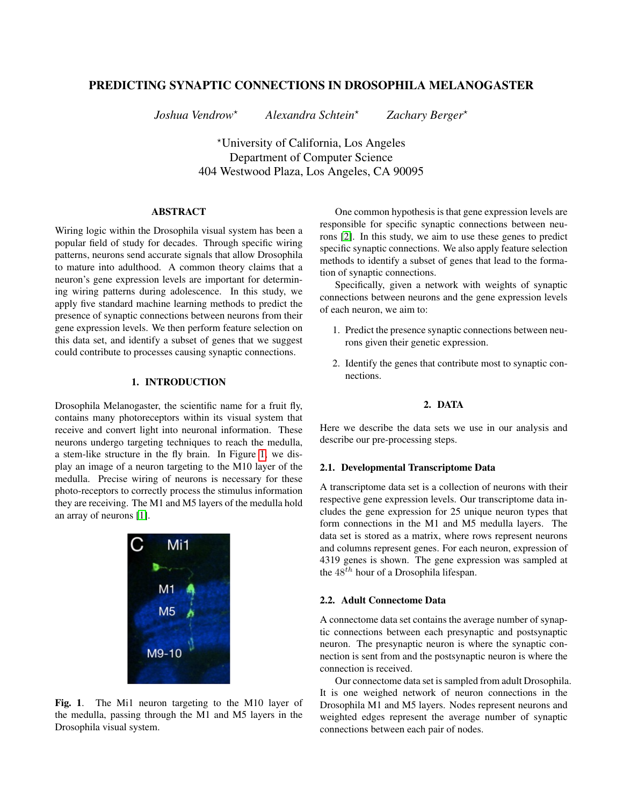# PREDICTING SYNAPTIC CONNECTIONS IN DROSOPHILA MELANOGASTER

*Joshua Vendrow*? *Alexandra Schtein*? *Zachary Berger*?

?University of California, Los Angeles Department of Computer Science 404 Westwood Plaza, Los Angeles, CA 90095

## ABSTRACT

Wiring logic within the Drosophila visual system has been a popular field of study for decades. Through specific wiring patterns, neurons send accurate signals that allow Drosophila to mature into adulthood. A common theory claims that a neuron's gene expression levels are important for determining wiring patterns during adolescence. In this study, we apply five standard machine learning methods to predict the presence of synaptic connections between neurons from their gene expression levels. We then perform feature selection on this data set, and identify a subset of genes that we suggest could contribute to processes causing synaptic connections.

## 1. INTRODUCTION

Drosophila Melanogaster, the scientific name for a fruit fly, contains many photoreceptors within its visual system that receive and convert light into neuronal information. These neurons undergo targeting techniques to reach the medulla, a stem-like structure in the fly brain. In Figure [1,](#page-0-0) we display an image of a neuron targeting to the M10 layer of the medulla. Precise wiring of neurons is necessary for these photo-receptors to correctly process the stimulus information they are receiving. The M1 and M5 layers of the medulla hold an array of neurons [\[1\]](#page-4-0).



<span id="page-0-0"></span>Fig. 1. The Mi1 neuron targeting to the M10 layer of the medulla, passing through the M1 and M5 layers in the Drosophila visual system.

One common hypothesis is that gene expression levels are responsible for specific synaptic connections between neurons [\[2\]](#page-4-1). In this study, we aim to use these genes to predict specific synaptic connections. We also apply feature selection methods to identify a subset of genes that lead to the formation of synaptic connections.

Specifically, given a network with weights of synaptic connections between neurons and the gene expression levels of each neuron, we aim to:

- 1. Predict the presence synaptic connections between neurons given their genetic expression.
- 2. Identify the genes that contribute most to synaptic connections.

## 2. DATA

<span id="page-0-1"></span>Here we describe the data sets we use in our analysis and describe our pre-processing steps.

#### 2.1. Developmental Transcriptome Data

A transcriptome data set is a collection of neurons with their respective gene expression levels. Our transcriptome data includes the gene expression for 25 unique neuron types that form connections in the M1 and M5 medulla layers. The data set is stored as a matrix, where rows represent neurons and columns represent genes. For each neuron, expression of 4319 genes is shown. The gene expression was sampled at the  $48^{th}$  hour of a Drosophila lifespan.

## 2.2. Adult Connectome Data

A connectome data set contains the average number of synaptic connections between each presynaptic and postsynaptic neuron. The presynaptic neuron is where the synaptic connection is sent from and the postsynaptic neuron is where the connection is received.

Our connectome data set is sampled from adult Drosophila. It is one weighed network of neuron connections in the Drosophila M1 and M5 layers. Nodes represent neurons and weighted edges represent the average number of synaptic connections between each pair of nodes.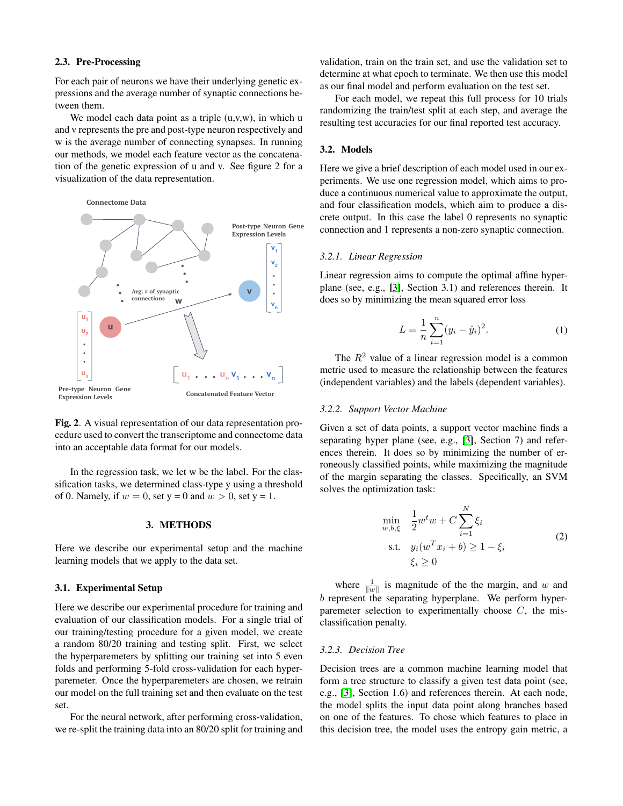## <span id="page-1-1"></span>2.3. Pre-Processing

For each pair of neurons we have their underlying genetic expressions and the average number of synaptic connections between them.

We model each data point as a triple  $(u, v, w)$ , in which u and v represents the pre and post-type neuron respectively and w is the average number of connecting synapses. In running our methods, we model each feature vector as the concatenation of the genetic expression of u and v. See figure 2 for a visualization of the data representation.

Connectome Data



Fig. 2. A visual representation of our data representation procedure used to convert the transcriptome and connectome data into an acceptable data format for our models.

In the regression task, we let w be the label. For the classification tasks, we determined class-type y using a threshold of 0. Namely, if  $w = 0$ , set  $y = 0$  and  $w > 0$ , set  $y = 1$ .

#### 3. METHODS

Here we describe our experimental setup and the machine learning models that we apply to the data set.

#### <span id="page-1-0"></span>3.1. Experimental Setup

Here we describe our experimental procedure for training and evaluation of our classification models. For a single trial of our training/testing procedure for a given model, we create a random 80/20 training and testing split. First, we select the hyperparemeters by splitting our training set into 5 even folds and performing 5-fold cross-validation for each hyperparemeter. Once the hyperparemeters are chosen, we retrain our model on the full training set and then evaluate on the test set.

For the neural network, after performing cross-validation, we re-split the training data into an 80/20 split for training and validation, train on the train set, and use the validation set to determine at what epoch to terminate. We then use this model as our final model and perform evaluation on the test set.

For each model, we repeat this full process for 10 trials randomizing the train/test split at each step, and average the resulting test accuracies for our final reported test accuracy.

### <span id="page-1-2"></span>3.2. Models

Here we give a brief description of each model used in our experiments. We use one regression model, which aims to produce a continuous numerical value to approximate the output, and four classification models, which aim to produce a discrete output. In this case the label 0 represents no synaptic connection and 1 represents a non-zero synaptic connection.

#### *3.2.1. Linear Regression*

Linear regression aims to compute the optimal affine hyperplane (see, e.g., [\[3\]](#page-4-2), Section 3.1) and references therein. It does so by minimizing the mean squared error loss

$$
L = \frac{1}{n} \sum_{i=1}^{n} (y_i - \hat{y}_i)^2.
$$
 (1)

The  $R<sup>2</sup>$  value of a linear regression model is a common metric used to measure the relationship between the features (independent variables) and the labels (dependent variables).

## *3.2.2. Support Vector Machine*

Given a set of data points, a support vector machine finds a separating hyper plane (see, e.g., [\[3\]](#page-4-2), Section 7) and references therein. It does so by minimizing the number of erroneously classified points, while maximizing the magnitude of the margin separating the classes. Specifically, an SVM solves the optimization task:

$$
\min_{w,b,\xi} \quad \frac{1}{2} w^t w + C \sum_{i=1}^N \xi_i
$$
\n
$$
\text{s.t.} \quad y_i(w^T x_i + b) \ge 1 - \xi_i
$$
\n
$$
\xi_i \ge 0
$$
\n
$$
(2)
$$

where  $\frac{1}{\|w\|}$  is magnitude of the the margin, and w and  $b$  represent the separating hyperplane. We perform hyperparemeter selection to experimentally choose  $C$ , the misclassification penalty.

## *3.2.3. Decision Tree*

Decision trees are a common machine learning model that form a tree structure to classify a given test data point (see, e.g., [\[3\]](#page-4-2), Section 1.6) and references therein. At each node, the model splits the input data point along branches based on one of the features. To chose which features to place in this decision tree, the model uses the entropy gain metric, a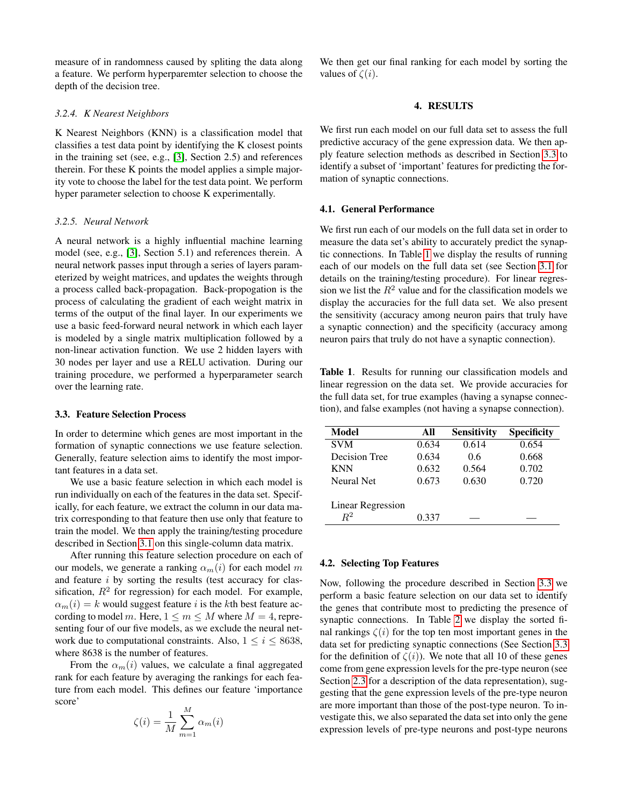measure of in randomness caused by spliting the data along a feature. We perform hyperparemter selection to choose the depth of the decision tree.

## *3.2.4. K Nearest Neighbors*

K Nearest Neighbors (KNN) is a classification model that classifies a test data point by identifying the K closest points in the training set (see, e.g., [\[3\]](#page-4-2), Section 2.5) and references therein. For these K points the model applies a simple majority vote to choose the label for the test data point. We perform hyper parameter selection to choose K experimentally.

#### *3.2.5. Neural Network*

A neural network is a highly influential machine learning model (see, e.g., [\[3\]](#page-4-2), Section 5.1) and references therein. A neural network passes input through a series of layers parameterized by weight matrices, and updates the weights through a process called back-propagation. Back-propogation is the process of calculating the gradient of each weight matrix in terms of the output of the final layer. In our experiments we use a basic feed-forward neural network in which each layer is modeled by a single matrix multiplication followed by a non-linear activation function. We use 2 hidden layers with 30 nodes per layer and use a RELU activation. During our training procedure, we performed a hyperparameter search over the learning rate.

## <span id="page-2-0"></span>3.3. Feature Selection Process

In order to determine which genes are most important in the formation of synaptic connections we use feature selection. Generally, feature selection aims to identify the most important features in a data set.

We use a basic feature selection in which each model is run individually on each of the features in the data set. Specifically, for each feature, we extract the column in our data matrix corresponding to that feature then use only that feature to train the model. We then apply the training/testing procedure described in Section [3.1](#page-1-0) on this single-column data matrix.

After running this feature selection procedure on each of our models, we generate a ranking  $\alpha_m(i)$  for each model m and feature i by sorting the results (test accuracy for classification,  $R^2$  for regression) for each model. For example,  $\alpha_m(i) = k$  would suggest feature i is the kth best feature according to model m. Here,  $1 \le m \le M$  where  $M = 4$ , representing four of our five models, as we exclude the neural network due to computational constraints. Also,  $1 \le i \le 8638$ , where 8638 is the number of features.

From the  $\alpha_m(i)$  values, we calculate a final aggregated rank for each feature by averaging the rankings for each feature from each model. This defines our feature 'importance score'

$$
\zeta(i) = \frac{1}{M} \sum_{m=1}^{M} \alpha_m(i)
$$

We then get our final ranking for each model by sorting the values of  $\zeta(i)$ .

## 4. RESULTS

We first run each model on our full data set to assess the full predictive accuracy of the gene expression data. We then apply feature selection methods as described in Section [3.3](#page-2-0) to identify a subset of 'important' features for predicting the formation of synaptic connections.

#### 4.1. General Performance

We first run each of our models on the full data set in order to measure the data set's ability to accurately predict the synaptic connections. In Table [1](#page-2-1) we display the results of running each of our models on the full data set (see Section [3.1](#page-1-0) for details on the training/testing procedure). For linear regression we list the  $R^2$  value and for the classification models we display the accuracies for the full data set. We also present the sensitivity (accuracy among neuron pairs that truly have a synaptic connection) and the specificity (accuracy among neuron pairs that truly do not have a synaptic connection).

<span id="page-2-1"></span>Table 1. Results for running our classification models and linear regression on the data set. We provide accuracies for the full data set, for true examples (having a synapse connection), and false examples (not having a synapse connection).

| Model             | All   | <b>Sensitivity</b> | <b>Specificity</b> |
|-------------------|-------|--------------------|--------------------|
| <b>SVM</b>        | 0.634 | 0.614              | 0.654              |
| Decision Tree     | 0.634 | 0.6                | 0.668              |
| <b>KNN</b>        | 0.632 | 0.564              | 0.702              |
| <b>Neural Net</b> | 0.673 | 0.630              | 0.720              |
|                   |       |                    |                    |
| Linear Regression |       |                    |                    |
| $R^2$             | 0.337 |                    |                    |

#### 4.2. Selecting Top Features

Now, following the procedure described in Section [3.3](#page-2-0) we perform a basic feature selection on our data set to identify the genes that contribute most to predicting the presence of synaptic connections. In Table [2](#page-3-0) we display the sorted final rankings  $\zeta(i)$  for the top ten most important genes in the data set for predicting synaptic connections (See Section [3.3](#page-2-0) for the definition of  $\zeta(i)$ ). We note that all 10 of these genes come from gene expression levels for the pre-type neuron (see Section [2.3](#page-1-1) for a description of the data representation), suggesting that the gene expression levels of the pre-type neuron are more important than those of the post-type neuron. To investigate this, we also separated the data set into only the gene expression levels of pre-type neurons and post-type neurons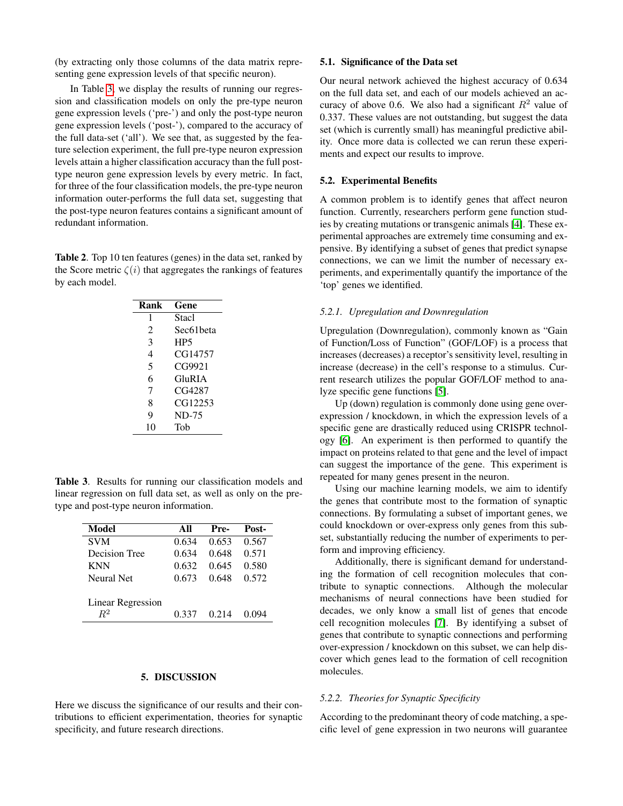(by extracting only those columns of the data matrix representing gene expression levels of that specific neuron).

In Table [3,](#page-3-1) we display the results of running our regression and classification models on only the pre-type neuron gene expression levels ('pre-') and only the post-type neuron gene expression levels ('post-'), compared to the accuracy of the full data-set ('all'). We see that, as suggested by the feature selection experiment, the full pre-type neuron expression levels attain a higher classification accuracy than the full posttype neuron gene expression levels by every metric. In fact, for three of the four classification models, the pre-type neuron information outer-performs the full data set, suggesting that the post-type neuron features contains a significant amount of redundant information.

<span id="page-3-0"></span>Table 2. Top 10 ten features (genes) in the data set, ranked by the Score metric  $\zeta(i)$  that aggregates the rankings of features by each model.

| Rank | Gene            |
|------|-----------------|
| 1    | Stacl           |
| 2    | Sec61beta       |
| 3    | HP <sub>5</sub> |
| 4    | CG14757         |
| 5    | CG9921          |
| 6    | GluRIA          |
| 7    | CG4287          |
| 8    | CG12253         |
| 9    | <b>ND-75</b>    |
| 10   | Tob             |
|      |                 |

<span id="page-3-1"></span>Table 3. Results for running our classification models and linear regression on full data set, as well as only on the pretype and post-type neuron information.

| Model             | All   | Pre-  | Post- |
|-------------------|-------|-------|-------|
| <b>SVM</b>        | 0.634 | 0.653 | 0.567 |
| Decision Tree     | 0.634 | 0.648 | 0.571 |
| <b>KNN</b>        | 0.632 | 0.645 | 0.580 |
| Neural Net        | 0.673 | 0.648 | 0.572 |
|                   |       |       |       |
| Linear Regression |       |       |       |
| $R^2$             | 0.337 | 0.214 |       |

#### 5. DISCUSSION

Here we discuss the significance of our results and their contributions to efficient experimentation, theories for synaptic specificity, and future research directions.

## 5.1. Significance of the Data set

Our neural network achieved the highest accuracy of 0.634 on the full data set, and each of our models achieved an accuracy of above 0.6. We also had a significant  $R^2$  value of 0.337. These values are not outstanding, but suggest the data set (which is currently small) has meaningful predictive ability. Once more data is collected we can rerun these experiments and expect our results to improve.

#### 5.2. Experimental Benefits

A common problem is to identify genes that affect neuron function. Currently, researchers perform gene function studies by creating mutations or transgenic animals [\[4\]](#page-4-3). These experimental approaches are extremely time consuming and expensive. By identifying a subset of genes that predict synapse connections, we can we limit the number of necessary experiments, and experimentally quantify the importance of the 'top' genes we identified.

#### *5.2.1. Upregulation and Downregulation*

Upregulation (Downregulation), commonly known as "Gain of Function/Loss of Function" (GOF/LOF) is a process that increases (decreases) a receptor's sensitivity level, resulting in increase (decrease) in the cell's response to a stimulus. Current research utilizes the popular GOF/LOF method to analyze specific gene functions [\[5\]](#page-4-4).

Up (down) regulation is commonly done using gene overexpression / knockdown, in which the expression levels of a specific gene are drastically reduced using CRISPR technology [\[6\]](#page-4-5). An experiment is then performed to quantify the impact on proteins related to that gene and the level of impact can suggest the importance of the gene. This experiment is repeated for many genes present in the neuron.

Using our machine learning models, we aim to identify the genes that contribute most to the formation of synaptic connections. By formulating a subset of important genes, we could knockdown or over-express only genes from this subset, substantially reducing the number of experiments to perform and improving efficiency.

Additionally, there is significant demand for understanding the formation of cell recognition molecules that contribute to synaptic connections. Although the molecular mechanisms of neural connections have been studied for decades, we only know a small list of genes that encode cell recognition molecules [\[7\]](#page-4-6). By identifying a subset of genes that contribute to synaptic connections and performing over-expression / knockdown on this subset, we can help discover which genes lead to the formation of cell recognition molecules.

## *5.2.2. Theories for Synaptic Specificity*

According to the predominant theory of code matching, a specific level of gene expression in two neurons will guarantee